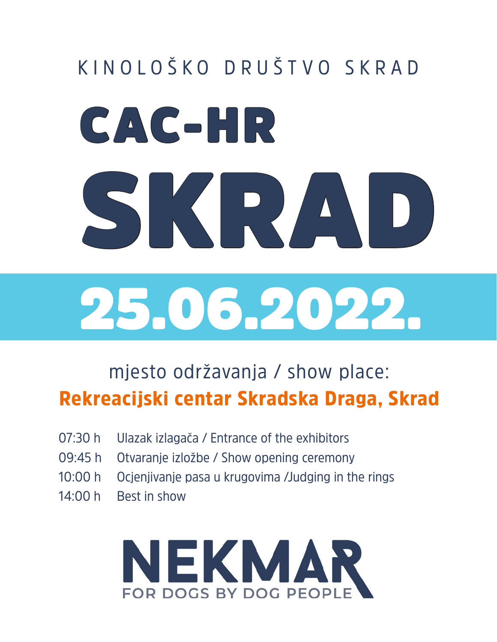# CAC-HR SKRAD 25.06.2022. KINOLOŠKO DRUŠTVO SKRAD

#### mjesto održavanja / show place: Rekreacijski centar Skradska Draga, Skrad

- 07:30 h Ulazak izlagača / Entrance of the exhibitors
- 09:45 h Otvaranje izložbe / Show opening ceremony
- 10:00 h Ocjenjivanje pasa u krugovima /Judging in the rings
- $14:00 h$  Best in show

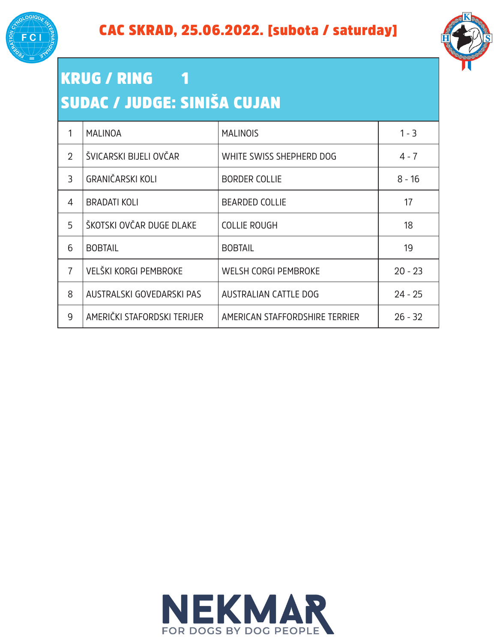



#### KRUG / RING 1 SUDAC / JUDGE: SINIŠA CUJAN

|                | <b>MALINOA</b>              | <b>MALINOIS</b>                | $1 - 3$   |
|----------------|-----------------------------|--------------------------------|-----------|
| $\overline{2}$ | ŠVICARSKI BIJELI OVČAR      | WHITE SWISS SHEPHERD DOG       | $4 - 7$   |
| 3              | <b>GRANIČARSKI KOLI</b>     | <b>BORDER COLLIE</b>           | $8 - 16$  |
| 4              | <b>BRADATI KOLI</b>         | <b>BEARDED COLLIE</b>          | 17        |
| 5              | ŠKOTSKI OVČAR DUGE DLAKE    | <b>COLLIE ROUGH</b>            | 18        |
| 6              | <b>BOBTAIL</b>              | <b>BOBTAIL</b>                 | 19        |
| $\overline{7}$ | VELŠKI KORGI PEMBROKE       | <b>WELSH CORGI PEMBROKE</b>    | $20 - 23$ |
| 8              | AUSTRALSKI GOVEDARSKI PAS   | <b>AUSTRALIAN CATTLE DOG</b>   | $24 - 25$ |
| 9              | AMERIČKI STAFORDSKI TERIJER | AMERICAN STAFFORDSHIRE TERRIER | $26 - 32$ |

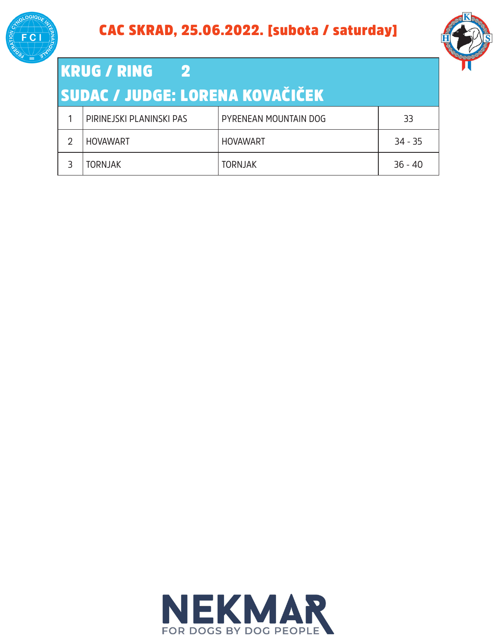



### KRUG / RING 2

#### SUDAC / JUDGE: LORENA KOVAČIČEK

| PIRINEJSKI PLANINSKI PAS | PYRENEAN MOUNTAIN DOG | 33        |
|--------------------------|-----------------------|-----------|
| <b>HOVAWART</b>          | <b>HOVAWART</b>       | $34 - 35$ |
| <b>TORNJAK</b>           | <b>TORNJAK</b>        | $36 - 40$ |

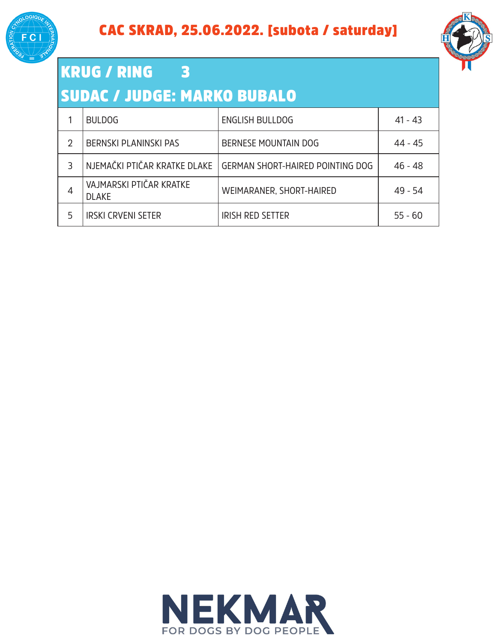



#### KRUG / RING 3 SUDAC / JUDGE: MARKO BUBALO

|   | <b>BULDOG</b>                           | <b>ENGLISH BULLDOG</b>                  | $41 - 43$ |
|---|-----------------------------------------|-----------------------------------------|-----------|
| 2 | <b>BERNSKI PLANINSKI PAS</b>            | BERNESE MOUNTAIN DOG                    | 44 - 45   |
| ٦ | NJEMAČKI PTIČAR KRATKE DLAKE            | <b>GERMAN SHORT-HAIRED POINTING DOG</b> | 46 - 48   |
| 4 | VAJMARSKI PTIČAR KRATKE<br><b>DLAKE</b> | WEIMARANER, SHORT-HAIRED                | 49 - 54   |
| 5 | <b>IRSKI CRVENI SETER</b>               | <b>IRISH RED SETTER</b>                 | $55 - 60$ |

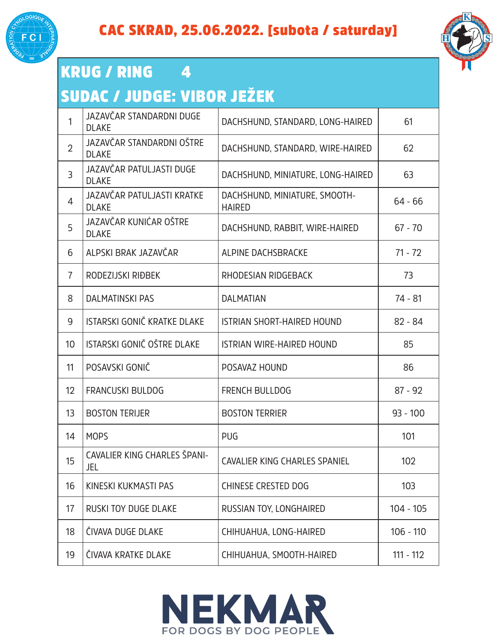



#### KRUG / RING 4

#### SUDAC / JUDGE: VIBOR JEŽEK

| 1              | JAZAVČAR STANDARDNI DUGE<br><b>DLAKE</b>   | DACHSHUND, STANDARD, LONG-HAIRED               | 61          |
|----------------|--------------------------------------------|------------------------------------------------|-------------|
| $\overline{2}$ | JAZAVČAR STANDARDNI OŠTRE<br><b>DLAKE</b>  | DACHSHUND, STANDARD, WIRE-HAIRED               | 62          |
| 3              | JAZAVČAR PATULJASTI DUGE<br><b>DLAKE</b>   | DACHSHUND, MINIATURE, LONG-HAIRED              | 63          |
| $\overline{4}$ | JAZAVČAR PATULJASTI KRATKE<br><b>DLAKE</b> | DACHSHUND, MINIATURE, SMOOTH-<br><b>HAIRED</b> | $64 - 66$   |
| 5              | JAZAVČAR KUNIĆAR OŠTRE<br><b>DLAKE</b>     | DACHSHUND, RABBIT, WIRE-HAIRED                 | $67 - 70$   |
| 6              | ALPSKI BRAK JAZAVČAR                       | ALPINE DACHSBRACKE                             | $71 - 72$   |
| $\overline{7}$ | RODEZIJSKI RIĐBEK                          | RHODESIAN RIDGEBACK                            | 73          |
| 8              | <b>DALMATINSKI PAS</b>                     | <b>DALMATIAN</b>                               | $74 - 81$   |
| 9              | ISTARSKI GONIČ KRATKE DLAKE                | <b>ISTRIAN SHORT-HAIRED HOUND</b>              | $82 - 84$   |
| 10             | ISTARSKI GONIČ OŠTRE DLAKE                 | <b>ISTRIAN WIRE-HAIRED HOUND</b>               | 85          |
| 11             | POSAVSKI GONIČ                             | POSAVAZ HOUND                                  | 86          |
| 12             | <b>FRANCUSKI BULDOG</b>                    | <b>FRENCH BULLDOG</b>                          | $87 - 92$   |
| 13             | <b>BOSTON TERIJER</b>                      | <b>BOSTON TERRIER</b>                          | $93 - 100$  |
| 14             | <b>MOPS</b>                                | PUG                                            | 101         |
| 15             | CAVALIER KING CHARLES ŠPANI-<br>JEL        | CAVALIER KING CHARLES SPANIEL                  | 102         |
| 16             | KINESKI KUKMASTI PAS                       | <b>CHINESE CRESTED DOG</b>                     | 103         |
| 17             | <b>RUSKI TOY DUGE DLAKE</b>                | RUSSIAN TOY, LONGHAIRED                        | $104 - 105$ |
| 18             | ČIVAVA DUGE DLAKE                          | CHIHUAHUA, LONG-HAIRED                         | $106 - 110$ |
| 19             | ČIVAVA KRATKE DLAKE                        | CHIHUAHUA, SMOOTH-HAIRED                       | $111 - 112$ |

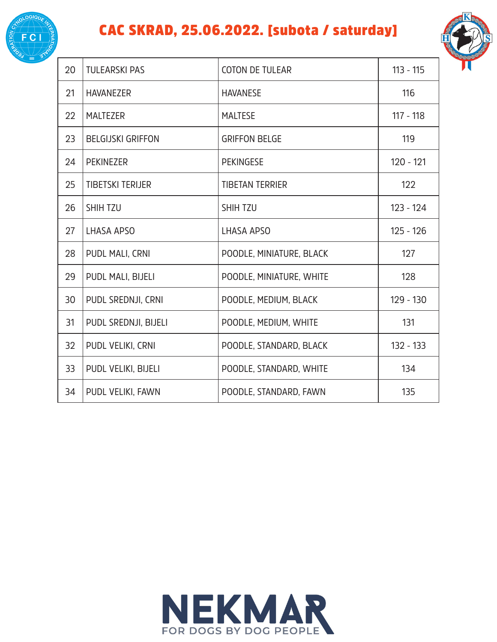

#### CAC SKRAD, 25.06.2022. [subota / saturday]



| 20 | <b>TULEARSKI PAS</b>     | <b>COTON DE TULEAR</b>   | $113 - 115$ |
|----|--------------------------|--------------------------|-------------|
| 21 | <b>HAVANEZER</b>         | <b>HAVANESE</b>          | 116         |
| 22 | <b>MALTEZER</b>          | <b>MALTESE</b>           | $117 - 118$ |
| 23 | <b>BELGIJSKI GRIFFON</b> | <b>GRIFFON BELGE</b>     | 119         |
| 24 | <b>PEKINEZER</b>         | <b>PEKINGESE</b>         | $120 - 121$ |
| 25 | <b>TIBETSKI TERIJER</b>  | <b>TIBETAN TERRIER</b>   | 122         |
| 26 | SHIH TZU                 | <b>SHIH TZU</b>          | $123 - 124$ |
| 27 | <b>LHASA APSO</b>        | LHASA APSO               | $125 - 126$ |
| 28 | PUDL MALI, CRNI          | POODLE, MINIATURE, BLACK | 127         |
| 29 | PUDL MALI, BIJELI        | POODLE, MINIATURE, WHITE | 128         |
| 30 | PUDL SREDNJI, CRNI       | POODLE, MEDIUM, BLACK    | 129 - 130   |
| 31 | PUDL SREDNJI, BIJELI     | POODLE, MEDIUM, WHITE    | 131         |
| 32 | PUDL VELIKI, CRNI        | POODLE, STANDARD, BLACK  | 132 - 133   |
| 33 | PUDL VELIKI, BIJELI      | POODLE, STANDARD, WHITE  | 134         |
| 34 | PUDL VELIKI, FAWN        | POODLE, STANDARD, FAWN   | 135         |

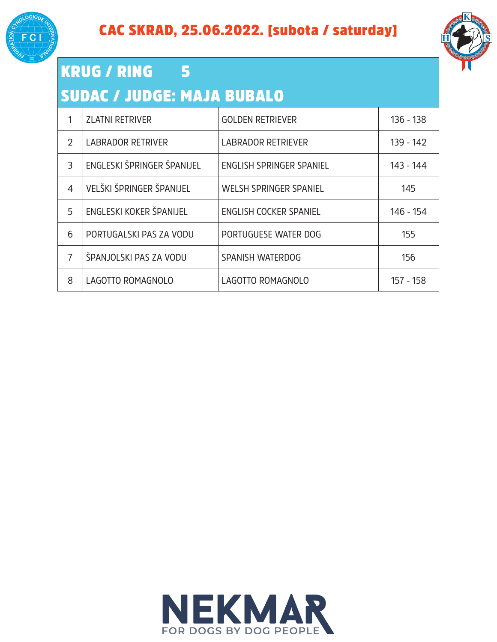



#### KRUG / RING 5 SUDAC / JUDGE: MAJA BUBALO

|                | <b>ZLATNI RETRIVER</b>     | <b>GOLDEN RETRIEVER</b>         | $136 - 138$ |
|----------------|----------------------------|---------------------------------|-------------|
| $\overline{2}$ | <b>LABRADOR RETRIVER</b>   | <b>LABRADOR RETRIEVER</b>       | 139 - 142   |
| 3              | ENGLESKI ŠPRINGER ŠPANIJEL | <b>ENGLISH SPRINGER SPANIEL</b> | 143 - 144   |
| 4              | VELŠKI ŠPRINGER ŠPANIJEL   | <b>WELSH SPRINGER SPANIEL</b>   | 145         |
| 5              | ENGLESKI KOKER ŠPANIJEL    | <b>ENGLISH COCKER SPANIEL</b>   | 146 - 154   |
| 6              | PORTUGALSKI PAS ZA VODU    | PORTUGUESE WATER DOG            | 155         |
| 7              | ŠPANJOLSKI PAS ZA VODU     | SPANISH WATERDOG                | 156         |
| 8              | LAGOTTO ROMAGNOLO          | LAGOTTO ROMAGNOLO               | 157 - 158   |

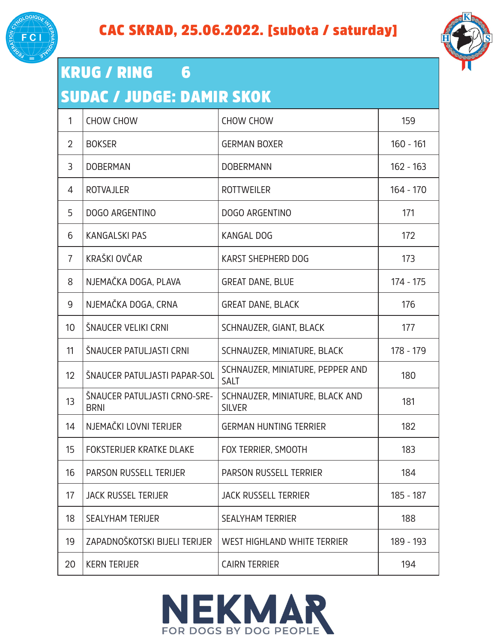



#### KRUG / RING 6 SUDAC / JUDGE: DAMIR SKOK

| 1               | <b>CHOW CHOW</b>                            | <b>CHOW CHOW</b>                                 | 159         |
|-----------------|---------------------------------------------|--------------------------------------------------|-------------|
| $\overline{2}$  | <b>BOKSER</b>                               | <b>GERMAN BOXER</b>                              | $160 - 161$ |
| 3               | <b>DOBERMAN</b>                             | <b>DOBERMANN</b>                                 | $162 - 163$ |
| 4               | <b>ROTVAJLER</b>                            | <b>ROTTWEILER</b>                                | $164 - 170$ |
| 5               | <b>DOGO ARGENTINO</b>                       | <b>DOGO ARGENTINO</b>                            | 171         |
| 6               | <b>KANGALSKI PAS</b>                        | <b>KANGAL DOG</b>                                | 172         |
| $\overline{7}$  | KRAŠKI OVČAR                                | <b>KARST SHEPHERD DOG</b>                        | 173         |
| 8               | NJEMAČKA DOGA, PLAVA                        | <b>GREAT DANE, BLUE</b>                          | 174 - 175   |
| 9               | NJEMAČKA DOGA, CRNA                         | <b>GREAT DANE, BLACK</b>                         | 176         |
| 10 <sup>°</sup> | ŠNAUCER VELIKI CRNI                         | SCHNAUZER, GIANT, BLACK                          | 177         |
| 11              | ŠNAUCER PATULJASTI CRNI                     | SCHNAUZER, MINIATURE, BLACK                      | 178 - 179   |
| 12              | ŠNAUCER PATULJASTI PAPAR-SOL                | SCHNAUZER, MINIATURE, PEPPER AND<br><b>SALT</b>  | 180         |
| 13              | ŠNAUCER PATULJASTI CRNO-SRE-<br><b>BRNI</b> | SCHNAUZER, MINIATURE, BLACK AND<br><b>SILVER</b> | 181         |
| 14              | NJEMAČKI LOVNI TERIJER                      | <b>GERMAN HUNTING TERRIER</b>                    | 182         |
| 15              | <b>FOKSTERIJER KRATKE DLAKE</b>             | FOX TERRIER, SMOOTH                              | 183         |
| 16              | PARSON RUSSELL TERIJER                      | PARSON RUSSELL TERRIER                           | 184         |
| 17              | <b>JACK RUSSEL TERIJER</b>                  | <b>JACK RUSSELL TERRIER</b>                      | 185 - 187   |
| 18              | <b>SEALYHAM TERIJER</b>                     | <b>SEALYHAM TERRIER</b>                          | 188         |
| 19              | ZAPADNOŠKOTSKI BIJELI TERIJER               | <b>WEST HIGHLAND WHITE TERRIER</b>               | 189 - 193   |
| 20              | <b>KERN TERIJER</b>                         | <b>CAIRN TERRIER</b>                             | 194         |

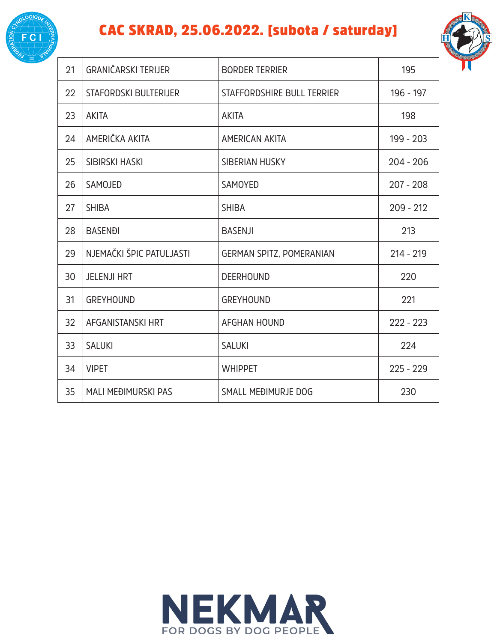

#### CAC SKRAD, 25.06.2022. [subota / saturday]



| 21 | GRANIČARSKI TERIJER        | <b>BORDER TERRIER</b>           | 195         |
|----|----------------------------|---------------------------------|-------------|
| 22 | STAFORDSKI BULTERIJER      | STAFFORDSHIRE BULL TERRIER      | 196 - 197   |
| 23 | <b>AKITA</b>               | <b>AKITA</b>                    | 198         |
| 24 | AMERIČKA AKITA             | AMERICAN AKITA                  | 199 - 203   |
| 25 | <b>SIBIRSKI HASKI</b>      | SIBERIAN HUSKY                  | $204 - 206$ |
| 26 | SAMOJED                    | <b>SAMOYED</b>                  | $207 - 208$ |
| 27 | <b>SHIBA</b>               | <b>SHIBA</b>                    | $209 - 212$ |
| 28 | <b>BASENĐI</b>             | <b>BASENJI</b>                  | 213         |
| 29 | NJEMAČKI ŠPIC PATULJASTI   | <b>GERMAN SPITZ, POMERANIAN</b> | $214 - 219$ |
| 30 | <b>JELENJI HRT</b>         | <b>DEERHOUND</b>                | 220         |
| 31 | <b>GREYHOUND</b>           | <b>GREYHOUND</b>                | 221         |
| 32 | AFGANISTANSKI HRT          | <b>AFGHAN HOUND</b>             | $222 - 223$ |
| 33 | <b>SALUKI</b>              | <b>SALUKI</b>                   | 224         |
| 34 | <b>VIPET</b>               | <b>WHIPPET</b>                  | $225 - 229$ |
| 35 | <b>MALI MEĐIMURSKI PAS</b> | SMALL MEĐIMURJE DOG             | 230         |